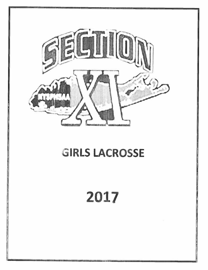

# **GIRLS LACROSSE**

# 2017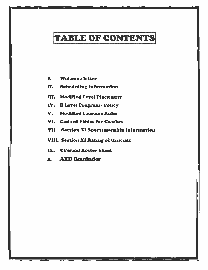## TABLE OF CONTENTS

- I. Welcome letter
- II. Scheduling Information
- Ill. Modified Level Placement
- IV. B Level Program Policy
- V. Modified Lacrosse Rules
- VI. Code of Ethics for Coaches
- VII. Section XI Sportsmanship Information
- VIII. Section XI Rating of Officials
- IX. 5 Period Roster Sheet
- X. AED Reminder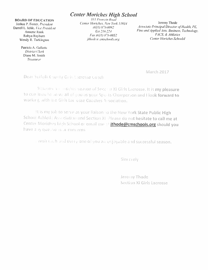## **Center Moriches High School**

#### **BOARD OF EDUCATION**

Joshua P. Foster, President Darrell L. Ichle, Vice President **Annette Rank** Robyn Rayburn Wendy R. Turkington

> Patricia A. Galietta **District Clerk** Diane M. Smith Treasurer

311 Frowein Road Center Moriches, New York 11934 (631) 878-0092 Ext 216/224 *Fax* (631) 878-0052 jthode a cmschools.org

Jeremy Thode Associate Principal/Director of Health, PE, Fine and Applied Arts, Business, Technology, FACS, & Athletics **Center Moriches SchoolsI** 

March 2017

Deal Suffolk County Guls Licrosse Coach

Malconn for mother season of Sect in XI Girls Lacrosse. It is my pleasure to con inue to senve all of you as your Sports Champerson and Hook forward to working with the Girls Lacrosse Coaches Association.

It is my job to serve as your liaison to the New York State Public High School Athletic Association and Section XI Please do not hesitate to call me at Center Moriches high School or email me at jthode@cmschools.org should you have any questions or concerns.

wish each und every one onyou an enjoyable and successful season.

Sincerely

Jeremy Thode Section XI Girls Lacrosse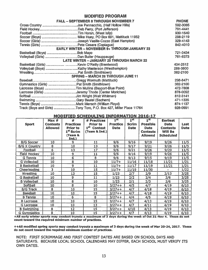#### MODIFIED PROGRAM

| <b>FALL - SEPTEMBER 8 THROUGH NOVEMBER 7</b>                       | <b>PHONE</b> |
|--------------------------------------------------------------------|--------------|
|                                                                    | 592-3065     |
|                                                                    | 791-4441     |
|                                                                    | 930-1540     |
|                                                                    | 298-2119     |
|                                                                    | 329-4143     |
|                                                                    | 842-4010     |
| <b>EARLY WINTER - NOVEMBER 9+ THROUGH JANUARY 23</b>               |              |
| Basketball (Boys) Bob Mayo                                         | 721-3434     |
|                                                                    | 761-8373     |
| <b>LATE WINTER - JANUARY 25 THROUGH MARCH 22</b>                   |              |
|                                                                    | 434-2512     |
|                                                                    | 288-3800     |
|                                                                    | 382-2100     |
| <b>SPRING - MARCH 28 THROUGH JUNE 11</b>                           |              |
|                                                                    | 298-8471     |
| Gymnastics (Girls) Pat Smith (Smithtown)                           | 382-2100     |
|                                                                    | 472-7808     |
| Lacrosse (Girls) Jeremy Thode (Center Moriches)                    | 878-0092     |
|                                                                    | 812-3141     |
|                                                                    | 471-1335     |
|                                                                    | 874-1137     |
| Track (Boys and Girls) Tony Toro, P.O. Box 427, Miller Place 11764 | 928-0991     |

#### MODIFIED SCHEDULING INFORMATION 2016-17

|                      | Max #           | #                       | # Practices                              | 1 <sup>st</sup> | 1 <sup>st</sup> | 1 <sup>st</sup>                | <b>Earliest</b>                   |             |
|----------------------|-----------------|-------------------------|------------------------------------------|-----------------|-----------------|--------------------------------|-----------------------------------|-------------|
| <b>Sport</b>         | <b>Contests</b> | <b>Practices</b>        | <b>Prior to</b>                          | <b>Practice</b> | <b>Scrim</b>    | <b>Possible</b>                | <b>Date</b>                       | Last        |
|                      | <b>Allowed</b>  | Prior to<br>1st Scrim   | 1 <sup>st</sup> Contest<br>(Team & Ind.) | <b>Date</b>     | <b>Date</b>     | <b>Date</b><br><b>Contests</b> | <b>Contests</b><br><b>Will Be</b> | <b>Date</b> |
|                      |                 | (Team &<br>Ind.)        |                                          |                 |                 | <b>Allowed</b>                 | <b>Scheduled</b>                  |             |
| <b>B/G Soccer</b>    | 10              | 9                       | 11                                       | 9/6             | 9/16            | 9/19                           | 9/26                              | 11/5        |
| <b>B/G X Country</b> | 8               | 10                      | 13                                       | 9/6             | 9/17            | 9/21                           | 9/26                              | 11/5        |
| Football             | 6               | 13                      | 17                                       | 9/6             | 9/21            | 9/26                           | 9/29                              | 11/5        |
| <b>Field Hockey</b>  | $\overline{10}$ | $\overline{9}$          | 11                                       | 9/6             | 9/16            | 9/19                           | 9/26                              | 11/5        |
| <b>G</b> Tennis      | 10              | $\overline{6}$          | 8                                        | 9/6             | 9/13            | 9/15                           | 9/19                              | 11/5        |
| <b>G</b> Volleyball  | 10              | $\overline{\mathbf{8}}$ | 10                                       | $11/7+$         | 11/16           | 11/18                          | 11/21                             | 1/21        |
| <b>B</b> Basketball  | 10              | $\overline{9}$          | 11                                       | $11/7+$         | 11/17           | 11/19                          | 11/21                             | 1/21        |
| Cheerleading         | 3               | 10                      | 15                                       | $11/7+$         | 11/19           | 11/30                          |                                   | $1/22$      |
| Wrestling            | 10              | 13                      | 15                                       | 1/23            | 2/7             | 2/9                            | 2/13                              | 3/25        |
| <b>G Basketball</b>  | 10 <sup>1</sup> | $\overline{9}$          | 11                                       | 1/23            | 2/2             | 2/4                            | 2/6                               | 3/25        |
| <b>B Volleyball</b>  | 10              | 8                       | 10                                       | 1/23            | 2/1             | 2/3                            | 2/6                               | 3/25        |
| Softball             | 10              | $\overline{\mathbf{8}}$ | 10                                       | $3/27 + +$      | 4/5             | 4/7                            | 4/19                              | 6/10        |
| <b>B/G Track</b>     | 8               | 10                      | 15                                       | $3/27++$        | 4/7             | 4/18                           | 4/19                              | 6/10        |
| <b>Baseball</b>      | 10              | 10                      | 15                                       | $3/27 + +$      | 4/7             | 4/18                           | 4/19                              | 6/10        |
| <b>B</b> Tennis      | 10              | $\overline{6}$          | 8                                        | $3/27 + +$      | 4/4             | 4/5                            | 4/19                              | 6/10        |
| <b>B</b> Lacrosse    | 10              | 10                      | 15                                       | $3/27++$        | 4/7             | 4/13                           | 4/19                              | 6/10        |
| <b>G</b> Lacrosse    | 10              | 10                      | 13                                       | $3/27++$        | 4/7             | 4/11                           | 4/19                              | 6/10        |
| <b>B</b> Swimming    | 8               | 12                      | 15                                       | $3/27++$        | 4/10            | 4/13                           | 4/19                              | 6/10        |
| <b>G</b> Gymnastics  | 8               | 10                      | 15                                       | $3/27++$        | 4/7             | 4/13                           | 4/19                              | 6/10        |

+All early winter sports may conduct tryouts <sup>a</sup> maximum of 3 days during the week of Oct 31-Nov 4. These do not count toward the required minimum number of practices.

++All modified spring sports may conduct tryouts <sup>a</sup> maximum of <sup>3</sup> days during the week of Mar 20-24, 2017. These do not count toward the required minimum number of practices.

NOTE: FIRST SCRIMMAGE AND FIRST CONTEST DATES ARE BASED ON SCHOOL DAYS AND SATURDAYS. BECAUSE LOCAL SCHOOL CALENDARS MAY DIFFER, EACH SCHOOL MUST VERIFY ITS OWN DATES.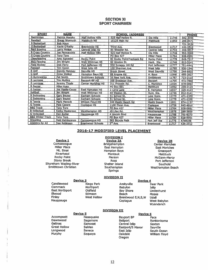#### SECTION XI SPORT CHAIRMEN

| <b>SPORT</b>                | <b>NAME</b>            |                          | <b>PHONE</b>                                 |                      |       |              |
|-----------------------------|------------------------|--------------------------|----------------------------------------------|----------------------|-------|--------------|
| Badminton                   | Patrick Murphy         | <b>Half Hollow Hills</b> | <b>SCHOOL /ADDRESS</b><br>525 Half Hollow R. | <b>Dix Hills</b>     | 11746 | 592-3065     |
| <b>Baseball</b>             | Gregg Wormuth          | <b>Mattituck HS</b>      | 15125 Main Rd                                | Mattituck            | 11952 | 298-8471     |
| <b>B</b> Basketball         | <b>Bob Mayo</b>        |                          |                                              |                      |       | 721-3434     |
| <b>G</b> Basketball         | Kevin O'Rellly         | <b>Brentwood HS</b>      | Third Ave.                                   | <b>Brentwood</b>     | 11717 | 434-2512     |
| <b>B&amp;G Bowling</b>      | Larry Philips          | Central Islip HS         | 85 Wheeler Rd.                               | Central Islip        | 11722 | 348-5017     |
| <b>B Cross Country</b>      | Joe Pennacchio         | <b>Half Hollow Hills</b> | 525 Half Hollow R.                           | Dix Hills            | 11746 | 592-3065     |
| <b>G Cross Country</b>      | <b>Tony Toro</b>       |                          | <b>PO Box 427</b>                            | <b>Miller Place</b>  | 11764 | 928-0991     |
| Cheerleading                | Amy Agnesini           | <b>Rocky Point</b>       | 82 Rocky Point/Yaphank Rd                    | Rocky Point          | 11778 | 849-7517     |
| <b>B&amp;G Fencing</b>      | Jim Wright             | Walt Whitman HS          | 60 Weston St.                                | Hunt. Sta.           | 11746 | 812-3141     |
| <b>Field Hockey</b>         | Deb Ferry              | Port Jefferson HS        | 550 Scraggy Hill Rd                          | Port Jefferson       | 11777 | 791-4441     |
| Football                    | <b>Tim Horan</b>       | West Islip HS            | 100 Sherman Ave                              | West Islip           | 11795 | 930-1540     |
| <b>B</b> Golf               | <b>Dennis Maloney</b>  | Sayville HS              | <b>Brook Street</b>                          | <b>West Savville</b> | 11796 | 244-6625     |
| G Golf                      | <b>Drew Walker</b>     | Hampton Bays HS          | 88 Argone Rd.                                | H. Bays              | 11946 | 495-3927     |
| <b>G</b> Gymnastics         | Pat Smith              | <b>Smithtown Schools</b> | 26 New York Ave.                             | <b>Smithtown</b>     | 11787 | 723-2110     |
| <b>B</b> Lacrosse           | <b>Tim Mullins</b>     | <b>Bayport-BP HS</b>     | 200 Snedecor Ave.                            | Bayport              | 11705 | 472-7808     |
| <b>G</b> Lacrosse           | Jeremy Thode           | Center Moriches HS       | 311 Frowein Rd.                              | C. Moriches          | 11934 | 878-0092     |
| <b>B</b> Soccer             | Mike Huey              |                          | <b>PO Box 691</b>                            | Mattituck            | 11952 | 298-2119     |
| <b>G</b> Soccer             | Joe Vasile-Cozzo       | <b>East Hampton HS</b>   | 2 Long Lane                                  | E. Hampton           | 11937 | 329-4143     |
| <b>Softball</b>             | <b>Jim Wright</b>      | Walt Whitman HS          | 60 Weston St.                                | Hunt. Sta.           | 11746 | 812-3141     |
| <b>B</b> Swimming           | Gary Beutel            | Sachem Schools           | 51 School St.                                | Lake Ronk.           | 11779 | $471 - 1335$ |
| <b>G Swimming</b>           | <b>Gary Beutel</b>     | Sachem Schools           | 51 School St.                                | Lake Ronk.           | 11779 | 471-1335     |
| <b>B</b> Tennis             | <b>Mark Mensch</b>     | William Floyd HS         | 240 Mastic Beach Rd                          | Mastic Beach         | 11951 | 874-1137     |
| <b>G</b> Tennis             | <b>Pete Cesare</b>     | <b>Coplague HS</b>       | 1100 Dixon Ave.                              | Copiaque             | 11726 | 842-4010     |
| <b>B&amp;G Track</b>        | <b>Tony Toro</b>       |                          | <b>PO Box 427</b>                            | <b>Miller Place</b>  | 11764 | 928-0991     |
| <b>B</b> Volleyball         | Kathy Masterson        | <b>Westhampton HS</b>    | 49 Lilac Rd.                                 | Westhampton          | 11978 | 288-3800     |
| <b>G</b> Volleyball         | Dan Butler             | <b>Hauppauge HS</b>      | 4 Lincoln Blvd                               | Hauppauge            | 11788 | 761-8373     |
| <b>B&amp;G Winter Track</b> | <b>Tony Toro</b>       |                          | <b>PO Box 427</b>                            | <b>Miller Place</b>  | 11764 | 928-0991     |
| Wrestling                   | <b>Matt DeVincenzo</b> | Comsewogue HS            | 565 Bicycle Path                             | Port Jeff Sta        | 11776 | 4748196      |
| <b>Athletics for All</b>    | Dan Robinson           | <b>Brentwood Schools</b> | $3rd$ Ave.                                   | <b>Brentwood</b>     | 11717 | 434-2512     |

#### 2016-17 MODIFIED LEVEL PLACEMENT DIVISION I

Device 2A **Bridgehampton** East Hampton Hampton Bays Montauk Pierson Ross Shelter Island Southampton Springs

#### Device<sub>1</sub>

**Comsewogue** Miller Place Mt. Sinai Riverhead Rocky Point Stony Brook Shoreham Wading-River Smithtown Christian

Finley West hollow Brentwood E,N,S,W Udall

#### **DIVISION II** Device 3 Device 4 Candlewood **Kings Park Amityville** Deer Park Commack Northport Babylon Islip Northport Babylon<br>Oldfield Bay Shore East Nofthport OldfIeld Bay Shore Lindenhurst Stimson **Beach** Moses

McGann-Mercy Port Jefferson **Southold** Westhampton Beach

Device ZB Center Moriches East Moriches **Greenport** Mattituck

Coplague West Babylon Wyandanch

#### DIVISION III

Accompsett Nesaquake Bayport BP Paca<br>
Dawnwood Sagamore Bellport Ronk Dawnwood Saga more Beilpoft Ronkon koma Gehnas Samoset Central Islip Saxton Great Hollow Selden Eastport/S Manor Sayvflle Longwood Seneca East IsWp South Ocean Oregon

#### Device 5 Device 6

William Floyd

#### 12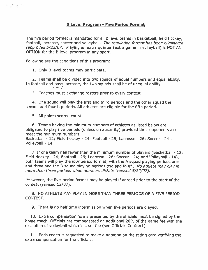The five period format is mandated for all <sup>B</sup> level teams in basketball, field hockey, football, lacrosse, soccer and volleyball. The regulation format has been eliminated (approved 5/22/07). Playing an extra quarter (extra game in volleyball) is NOT AN OPTION for the B level program in any sport.

Following are the conditions of this program:

1. Only B level teams may participate.

2. Teams shall be divided into two squads of equal numbers and equal ability. In football and boys lacrosse, the two squads shall be of unequal ability.<br>GIRLS

3. Coaches must exchange rosters prior to every contest.

4. One squad will <sup>p</sup>lay the first and third periods and the other squad the second and fourth periods. All athletes are eligible for the fifth period.

5. All points scored count.

ಉ\_ಕಾ]ಾಡ

6. Teams having the minimum numbers of athletes as listed below are obligated to <sup>p</sup>lay five periods (unless on austerity) provided their opponents also meet the minimum numbers.

Basketball - 12; Field hockey - 24; Football - 26; Lacrosse - 26; Soccer - 24; Volleyball - 14

7. If one team has fewer than the minimum number of players (Basketball - 12; Field Hockey - 24; Football - 26; Lacrosse - 26; Soccer - 24; and Volleyball - 14), both teams will play the four period format, with the A squad playing periods one and three and the B squad playing periods two and four\*. No athlete may play in more than three periods when numbers dictate (revised 5/22/07).

\*However, the five-period format may be played if agreed prior to the start of the contest (revised 12/07).

8. NO ATHLETE MAY PLAY IN MORE THAN THREE PERIODS OF A FIVE PERIOD CONTEST.

9. There is no half time intermission when five periods are played.

10. Extra compensation forms presented by the officials must be signed by the home coach. Officials are compensated an additional 20% of the game fee with the exception of volleyball which is <sup>a</sup> set fee (see Officials Contract).

11. Each coach is requested to make <sup>a</sup> notation on the rating card verifying the extra compensation for the officials.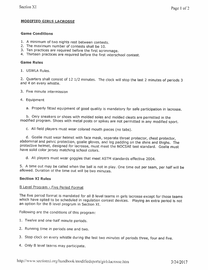#### MODIFIED GIRLS LACROSSE

#### Game Conditions

- 1. <sup>A</sup> minimum of two nights rest between contests.
- 2. The maximum number of contests shall be 10.
- 
- 3. Ten practices are required before the first scrimmage. 4. Thirteen practices are required before the first interschool contest.

#### Game Rules

1. USWLA Rules.

2. Quarters shall consist of <sup>12</sup> 1/2 minutes. The clock will stop the last <sup>2</sup> minutes of periods <sup>3</sup> and <sup>4</sup> on every whistle.

- 3. Five minute intermission
- 4. Equipment
	- a. Properly fitted equipment of good quality is mandatory for safe participation in lacrosse.

b. Only sneakers or shoes with molded soles and molded cleats are permitted in the modified program. Shoes with metal posts or spikes are not permitted in any modified sport.

c. All field <sup>p</sup>layers must wear colored mouth <sup>p</sup>ieces (no tabs).

d. Goalie must wear helmet with face mask, separate throat protector, chest protector, abdominal and pelvic protection, goalie gloves, and leg padding on the shins and thighs. The protective helmet, designed for lacrosse, have solid color jersey matching school colors.

d. All <sup>p</sup>layers must wear goggles that meet ASTM standards effective 2004.

5. <sup>A</sup> time out may be called when the ball is not in <sup>p</sup>lay. One time out per team, per half will be allowed. Duration of the time out will be two minutes.

#### Section XI Rules

#### B Level Program - Five Period Format

The five period format is mandated for all <sup>B</sup> level teams in <sup>g</sup>irls lacrosse except for those teams which have opted to be scheduled in regulation contest devices. Playing an extra period is not an option for the <sup>B</sup> level program in Section Xl.

Following are the conditions of this program:

- 1. Twelve and one-half minute periods.
- 2. Running time in periods one and two.
- 3. Stop clock on every whistle during the last two minutes of periods three, four and five.
- 4. Only <sup>B</sup> level teams may participate.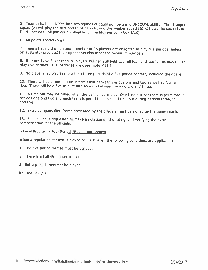5. Teams shall be divided into two squads of equal numbers and UNEQUAL ability. The stronger squad (A) will play the first and third periods, and the weaker squad (B) will play the second and fourth periods. All players ar

6. All points scored count.

7. Teams having the minimum number of <sup>26</sup> <sup>p</sup>layers are obligated to <sup>p</sup>lay five periods (unless on austerity) provided their opponents also meet the minimum numbers.

8. If teams have fewer than <sup>26</sup> <sup>p</sup>layers but can still field two full teams, those teams may opt to <sup>p</sup>lay five periods. (If substitutes are used, note #11.)

9. No <sup>p</sup>layer may <sup>p</sup>lay in more than three periods of <sup>a</sup> five period contest, including the goalie.

10. There will be <sup>a</sup> one minute intermission between periods one and two as well as four and five. There will be <sup>a</sup> five minute intermission between periods two and three.

11. <sup>A</sup> time out may be called when the ball is not in <sup>p</sup>lay. One time out per team is permitted in periods one and two and each team is permitted a second time out during periods three, four and five.

12. Extra compensation forms presented by the officials must be signed by the home coach.

13. Each coach is requested to make <sup>a</sup> notation on the rating card verifying the extra compensation for the officials.

#### <sup>B</sup> Level Program - Four Periods/Regulation Contest

When a regulation contest is played at the B level, the following conditions are applicable:

1. The five period format must be utilized.

- 2. There is <sup>a</sup> half-time intermission.
- 3. Extra periods may not be played.

Revised 3/25/10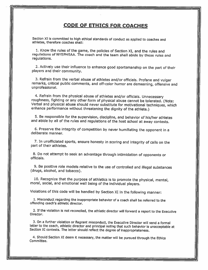### CODE OF ETHICS FOR COACHES

Section XI is committed to high ethical standards of conduct as applied to coaches and athletes, therefore coaches shall:

1, Know the rules of the game, the policies of Section XI, and the rules and regulations of NYSPHSAA. The coach and the team shall abide by these rules and requlations.

2. Actively use their influence to enhance good sportsmanship on the part of their <sup>p</sup>layers and their community.

3. Refrain from the verbal abuse of athletes and/or officials. Profane and vulgar remarks, critical public comments, and off-color humor are demeaning, offensive and unprofessional.

4. Refrain from the physical abuse of athletes and/or officials. Unnecessary<br>roughness, fighting or any other form of physical abuse cannot be tolerated. (Note: Verbal and physical abuse should never substitute for motivational techniques, which<br>enhance performance without threatening the dignity of the athlete.)

5. Be responsible for the supervision, discipline, and behavior of his/her athletes and abide by all of the rules and regulations of the host school at away contests.

6. Preserve the integrity of competition by never humiliating the opponent in <sup>a</sup> deliberate manner.

7. In unofficlated sports, ensure honesty in scoring and Integrity of calls on the part of their athletes.

8. Do not attempt to seek an advantage through intimidation of opponents or officials.

9. Be positive role models relative to the use of controlled and illegal substances (drugs, alcohol, and tobacco).

10. Recognize that the purpose of athletics is to promote the <sup>p</sup>hysical, mental, moral, social, and emotional well being of the individual <sup>p</sup>layers.

Violations of this code will be handled by Section XI In the following manner:

1. Misconduct regarding the inappropriate behavior of a coach shall be referred to the offending coach's athletic director.

2. If the violation is not reconciled, the athletic director will forward a report to the Executive Director.

3. On a further violation or flagrant misconduct, the Executive Director will send a formal letter to the coach, athietic director and principal noting that such behavior is unacceptable at Section XI contests, The letter should reflect the degree of Inappropriateness.

4. Should Section XI deem it necessary, the matter will be pursued through the Ethics Committee.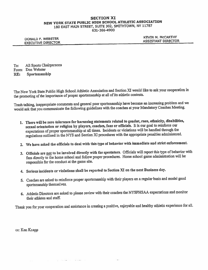#### SECTION XI NEW YORK STATE PUBLIC HIGH SCHOOL ATHLETIC ASSOCIATION <sup>180</sup> EAST MAIN STREET, SUITE 302, SMITHTOWN, NY <sup>11787</sup>

631-366-4900

EXECUTIVE DIRECTOR **ASSISTANT DIRECTOR** 

DONALD F. WEBSTER KEVIN M. MCCARTHY

To: Ml Sports Chairpersons From: Don Webster RE: Sportsmanship

The New York State Public High School Athletic Association and Section XI would like to ask your cooperation in the promoting of the importance of proper sportsmanship at all of its athletic contests.

Trash talking, inappropriate comments and genera<sup>l</sup> poor sportsmanship have become an increasing problem and we would ask that you communicate the following guidelines with the coaches at your Mandatory Coaches Meeting.

- 1. There will be zero tolerance for harassing statements related to gender, race, ethnicity, disabilities, sexual orientation or religion by <sup>p</sup>layers, coaches, fans or officials, It is our goa<sup>l</sup> to reinforce our expectations of proper sportsmanship at all times. Incidents or violations will be handled through the regulations outlined in the NYS and Section XI procedures with the appropriate penalties administered.
- 2. We have asked the officials to deal with this type of behavior with immediate and strict enforcement.
- 3. Officials are not to be involved directly with the spectators. Officials will report this type of behavior with fans directly to the home school and follow proper procedures. Home school game administration will be responsible for the conduct at the game site.
- 4. Serious incidents or violations shall be reported to Section XI on the next Business day.

g militar and

- 5. Coaches are asked to reinforce proper sportsmanship with their <sup>p</sup>layers on <sup>a</sup> regular basis and model goo<sup>d</sup> sportsmanship themselves.
- 6. Athletic Directors are asked to <sup>p</sup>lease review with their coaches the NYSPHSAA expectations and monitor their athletes and staff.

Thank you for your cooperation and assistance in creating <sup>a</sup> positive, enjoyable and healthy athletic experience for all.

cc: Ken Knapp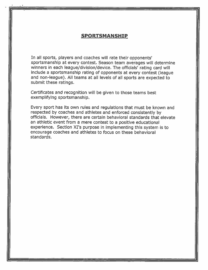#### SPORTSMANSHIP

In all sports, <sup>p</sup>layers and coaches will rate their opponents' sportsmanship at every contest. Season team averages will determine winners in each league/division/device. The officials' rating card will include <sup>a</sup> sportsmanship rating of opponents at every contest (league and non-league). All teams at all levels of all sports are expected to submit these ratings.

Certificates and recognition will be given to those teams best exemplifying sportsmanship.

Every sport has its own rules and regulations that must be known and respected by coaches and athletes and enforced consistently by officials. However, there are certain behavioral standards that elevate an athletic event from <sup>a</sup> mere contest to <sup>a</sup> positive educational experience. Section Xl's purpose in implementing this system is to encourage coaches and athletes to focus on these behavioral standards.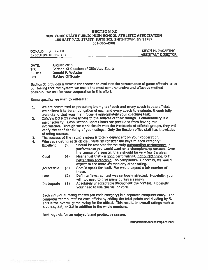#### SECTION XI NEW YORK STATE PUBLIC HIGH SCHOOL ATHLETIC ASSOCIATION 180 EAST MAIN STREET, SUITE 302, SMITHTOWN, NY 11787 631-366-4900

| DONALD F. WEBSTER         | <b>KEVIN M. MCCARTHY</b>  |
|---------------------------|---------------------------|
| <b>EXECUTIVE DIRECTOR</b> | <b>ASSISTANT DIRECTOR</b> |

DATE: August 2015 TO: Section XI Coaches of Officiated Sports FROM: Donald F. Webster RE: Rating Officials

Section XI provides <sup>a</sup> vehicle for coaches to evaluate the performance of game officials. It us our feeling that the system we use is the most comprehensive and effective method possible. We ask for your cooperation In this effort.

Some specifics we wish to reiterate:

- 1. We are committed to protecting the right of each and every coach to rate officials. We believe it to be an obligation of each and every coach to evaluate, though fully understand that your main focus is appropriately your coaching task.
- 2. Officials DO NOT have access to the sources of their ratings. Confidentiality is <sup>a</sup> major priority. Even Section Sport Chairs are precluded from having this information, Though we work closely with the Presidents of officials groups, they will verify the confidentiality of your ratings. Only the Section office staff has knowledge of rating sources.
- 3. The success of the rating system is totally dependent on your cooperation.
- 4. When evaluating each official, carefully consider the keys to each category:

| Excellent  | (5) | Should be reserved for the truiy outstanding performance, a<br>performance you would want on a championship contest. Over |
|------------|-----|---------------------------------------------------------------------------------------------------------------------------|
|            |     | the course of a season, there should be very few 5's given.                                                               |
| Good       | (4) | Means just that - a good performance, not outstanding, but                                                                |
|            |     | better than acceptable - no complaints. Generally, we would                                                               |
|            |     | expect to see more 4's than any other rating.                                                                             |
| Acceptable | (3) | Should speak for itself. We would expect a fair number of                                                                 |
|            |     | these.                                                                                                                    |
| Poor       | (2) | Definite flaws; contest was seriously affected. Hopefully, you                                                            |
|            |     | will not need to give many during a season.                                                                               |
| Inadequate | (1) | Absolutely unacceptable throughout the contest. Hopefully,                                                                |
|            |     | your need to use this will be rare.                                                                                       |

Each individual rating chosen (on each category) is <sup>a</sup> separate computer entry. The computer "computes" for each official by adding the total points and dividing by 5. This is the overall game rating for the official. This results in overall ratings such as 4.2, 3,4, 3.6, or 3.8 In addition to the whole numbers.

Best regards for an enjoyable and productive season.

ratingofficials.coachesmtgs.coaches

×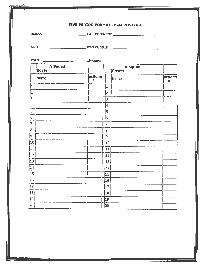|                             |                          |                 |          | FIVE PERIOD FORMAT TEAM ROSTERS |                 |
|-----------------------------|--------------------------|-----------------|----------|---------------------------------|-----------------|
|                             |                          |                 |          |                                 |                 |
|                             |                          |                 |          |                                 |                 |
|                             |                          |                 |          |                                 |                 |
|                             | <b>A</b> Squad<br>Roster |                 |          | <b>B</b> Squad<br>Roster        |                 |
|                             | Name                     | uniform<br>$\#$ |          | Name                            | uniform<br>$\#$ |
| I1                          |                          |                 | 1        |                                 |                 |
| 2                           |                          |                 | 2        |                                 |                 |
| 3                           |                          |                 | 3        |                                 |                 |
| 4                           |                          |                 | 4        |                                 |                 |
| 5                           |                          |                 | 5        |                                 |                 |
| 6                           |                          |                 | 6        |                                 |                 |
| 7                           |                          |                 | 7        |                                 |                 |
| 8                           |                          |                 | 8        |                                 |                 |
| 9                           |                          |                 | 9        |                                 |                 |
| $\vert$ 10 $\vert$          |                          |                 | 10       |                                 |                 |
| $\vert 11 \vert$            |                          |                 | 11       |                                 |                 |
| 12                          |                          |                 | 12       |                                 |                 |
| $\vert$ 13 $\vert$          |                          |                 | 13       |                                 |                 |
| $\vert 14 \vert$            |                          |                 | 14       |                                 |                 |
| 15                          |                          |                 | 15       |                                 |                 |
| 16                          |                          |                 | 16       |                                 |                 |
| $\overline{17}$             |                          |                 | 17       |                                 |                 |
| 18                          |                          |                 | 18       |                                 |                 |
| $ 19\rangle$<br>$\sqrt{20}$ |                          |                 | 19<br>20 |                                 |                 |